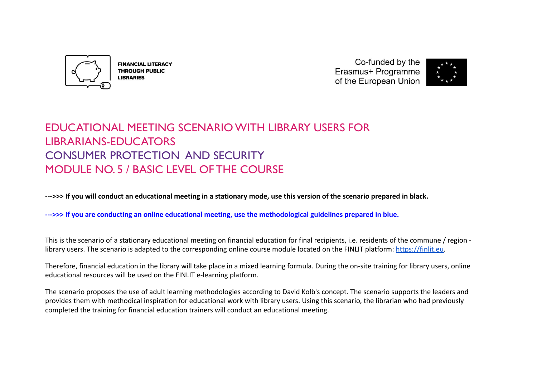

**FINANCIAL LITERACY THROUGH PUBLIC LIBRARIES** 

Co-funded by the Erasmus+ Programme of the European Union



# EDUCATIONAL MEETING SCENARIO WITH LIBRARY USERS FOR LIBRARIANS-EDUCATORS CONSUMER PROTECTION AND SECURITY MODULE NO. 5 / BASIC LEVEL OF THE COURSE

**--->>> If you will conduct an educational meeting in a stationary mode, use this version of the scenario prepared in black.**

**--->>> If you are conducting an online educational meeting, use the methodological guidelines prepared in blue.**

This is the scenario of a stationary educational meeting on financial education for final recipients, i.e. residents of the commune / region library users. The scenario is adapted to the corresponding online course module located on the FINLIT platform: [https://finlit.eu.](https://finlit.eu)

Therefore, financial education in the library will take place in a mixed learning formula. During the on-site training for library users, online educational resources will be used on the FINLIT e-learning platform.

The scenario proposes the use of adult learning methodologies according to David Kolb's concept. The scenario supports the leaders and provides them with methodical inspiration for educational work with library users. Using this scenario, the librarian who had previously completed the training for financial education trainers will conduct an educational meeting.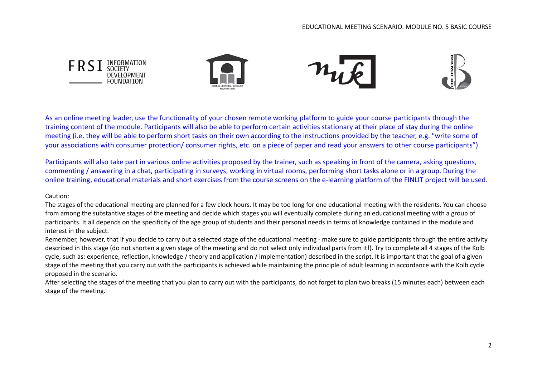

As an online meeting leader, use the functionality of your chosen remote working platform to guide your course participants through the training content of the module. Participants will also be able to perform certain activities stationary at their place of stay during the online meeting (i.e. they will be able to perform short tasks on their own according to the instructions provided by the teacher, e.g. "write some of your associations with consumer protection/ consumer rights, etc. on a piece of paper and read your answers to other course participants").

Participants will also take part in various online activities proposed by the trainer, such as speaking in front of the camera, asking questions, commenting / answering in a chat, participating in surveys, working in virtual rooms, performing short tasks alone or in a group. During the online training, educational materials and short exercises from the course screens on the e-learning platform of the FINLIT project will be used.

## Caution:

The stages of the educational meeting are planned for a few clock hours. It may be too long for one educational meeting with the residents. You can choose from among the substantive stages of the meeting and decide which stages you will eventually complete during an educational meeting with a group of participants. It all depends on the specificity of the age group of students and their personal needs in terms of knowledge contained in the module and interest in the subject.

Remember, however, that if you decide to carry out a selected stage of the educational meeting - make sure to guide participants through the entire activity described in this stage (do not shorten a given stage of the meeting and do not select only individual parts from it!). Try to complete all 4 stages of the Kolb cycle, such as: experience, reflection, knowledge / theory and application / implementation) described in the script. It is important that the goal of a given stage of the meeting that you carry out with the participants is achieved while maintaining the principle of adult learning in accordance with the Kolb cycle proposed in the scenario.

After selecting the stages of the meeting that you plan to carry out with the participants, do not forget to plan two breaks (15 minutes each) between each stage of the meeting.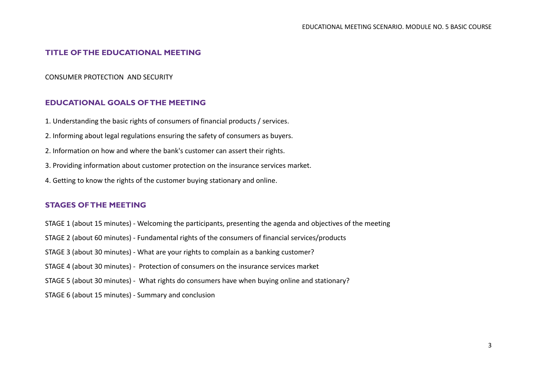## **TITLE OF THE EDUCATIONAL MEETING**

### CONSUMER PROTECTION AND SECURITY

## **EDUCATIONAL GOALS OF THE MEETING**

- 1. Understanding the basic rights of consumers of financial products / services.
- 2. Informing about legal regulations ensuring the safety of consumers as buyers.
- 2. Information on how and where the bank's customer can assert their rights.
- 3. Providing information about customer protection on the insurance services market.
- 4. Getting to know the rights of the customer buying stationary and online.

## **STAGES OF THE MEETING**

- STAGE 1 (about 15 minutes) Welcoming the participants, presenting the agenda and objectives of the meeting
- STAGE 2 (about 60 minutes) Fundamental rights of the consumers of financial services/products
- STAGE 3 (about 30 minutes) What are your rights to complain as a banking customer?
- STAGE 4 (about 30 minutes) Protection of consumers on the insurance services market
- STAGE 5 (about 30 minutes) What rights do consumers have when buying online and stationary?
- STAGE 6 (about 15 minutes) Summary and conclusion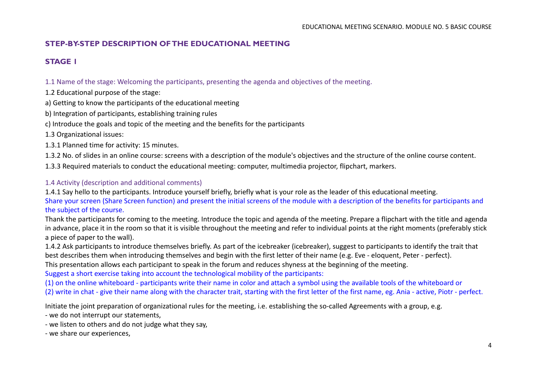## **STEP-BY-STEP DESCRIPTION OF THE EDUCATIONAL MEETING**

## **STAGE 1**

1.1 Name of the stage: Welcoming the participants, presenting the agenda and objectives of the meeting.

- 1.2 Educational purpose of the stage:
- a) Getting to know the participants of the educational meeting
- b) Integration of participants, establishing training rules
- c) Introduce the goals and topic of the meeting and the benefits for the participants
- 1.3 Organizational issues:
- 1.3.1 Planned time for activity: 15 minutes.
- 1.3.2 No. of slides in an online course: screens with a description of the module's objectives and the structure of the online course content.
- 1.3.3 Required materials to conduct the educational meeting: computer, multimedia projector, flipchart, markers.

## 1.4 Activity (description and additional comments)

1.4.1 Say hello to the participants. Introduce yourself briefly, briefly what is your role as the leader of this educational meeting. Share your screen (Share Screen function) and present the initial screens of the module with a description of the benefits for participants and the subject of the course.

Thank the participants for coming to the meeting. Introduce the topic and agenda of the meeting. Prepare a flipchart with the title and agenda in advance, place it in the room so that it is visible throughout the meeting and refer to individual points at the right moments (preferably stick a piece of paper to the wall).

1.4.2 Ask participants to introduce themselves briefly. As part of the icebreaker (icebreaker), suggest to participants to identify the trait that best describes them when introducing themselves and begin with the first letter of their name (e.g. Eve - eloquent, Peter - perfect). This presentation allows each participant to speak in the forum and reduces shyness at the beginning of the meeting. Suggest a short exercise taking into account the technological mobility of the participants:

(1) on the online whiteboard - participants write their name in color and attach a symbol using the available tools of the whiteboard or (2) write in chat - give their name along with the character trait, starting with the first letter of the first name, eg. Ania - active, Piotr - perfect.

Initiate the joint preparation of organizational rules for the meeting, i.e. establishing the so-called Agreements with a group, e.g.

- we do not interrupt our statements,
- we listen to others and do not judge what they say,
- we share our experiences,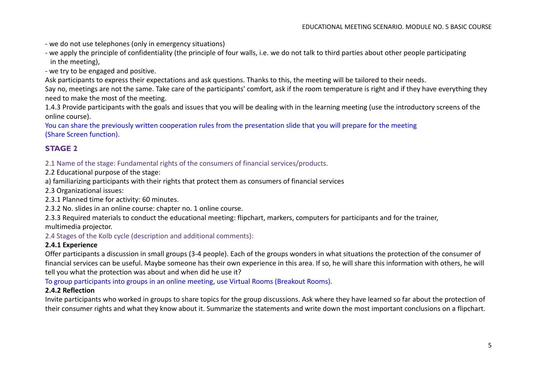- we do not use telephones (only in emergency situations)
- we apply the principle of confidentiality (the principle of four walls, i.e. we do not talk to third parties about other people participating in the meeting),

- we try to be engaged and positive.

Ask participants to express their expectations and ask questions. Thanks to this, the meeting will be tailored to their needs.

Say no, meetings are not the same. Take care of the participants' comfort, ask if the room temperature is right and if they have everything they need to make the most of the meeting.

1.4.3 Provide participants with the goals and issues that you will be dealing with in the learning meeting (use the introductory screens of the online course).

You can share the previously written cooperation rules from the presentation slide that you will prepare for the meeting (Share Screen function).

## **STAGE 2**

2.1 Name of the stage: Fundamental rights of the consumers of financial services/products.

2.2 Educational purpose of the stage:

a) familiarizing participants with their rights that protect them as consumers of financial services

2.3 Organizational issues:

2.3.1 Planned time for activity: 60 minutes.

2.3.2 No. slides in an online course: chapter no. 1 online course.

2.3.3 Required materials to conduct the educational meeting: flipchart, markers, computers for participants and for the trainer,

multimedia projector.

2.4 Stages of the Kolb cycle (description and additional comments):

## **2.4.1 Experience**

Offer participants a discussion in small groups (3-4 people). Each of the groups wonders in what situations the protection of the consumer of financial services can be useful. Maybe someone has their own experience in this area. If so, he will share this information with others, he will tell you what the protection was about and when did he use it?

To group participants into groups in an online meeting, use Virtual Rooms (Breakout Rooms).

## **2.4.2 Reflection**

Invite participants who worked in groups to share topics for the group discussions. Ask where they have learned so far about the protection of their consumer rights and what they know about it. Summarize the statements and write down the most important conclusions on a flipchart.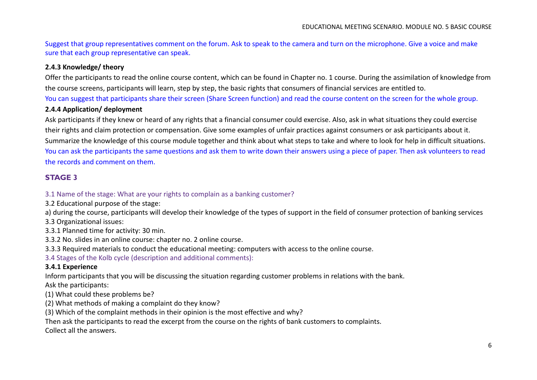Suggest that group representatives comment on the forum. Ask to speak to the camera and turn on the microphone. Give a voice and make sure that each group representative can speak.

## **2.4.3 Knowledge/ theory**

Offer the participants to read the online course content, which can be found in Chapter no. 1 course. During the assimilation of knowledge from the course screens, participants will learn, step by step, the basic rights that consumers of financial services are entitled to. You can suggest that participants share their screen (Share Screen function) and read the course content on the screen for the whole group.

## **2.4.4 Application/ deployment**

Ask participants if they knew or heard of any rights that a financial consumer could exercise. Also, ask in what situations they could exercise their rights and claim protection or compensation. Give some examples of unfair practices against consumers or ask participants about it. Summarize the knowledge of this course module together and think about what steps to take and where to look for help in difficult situations. You can ask the participants the same questions and ask them to write down their answers using a piece of paper. Then ask volunteers to read the records and comment on them.

## **STAGE 3**

## 3.1 Name of the stage: What are your rights to complain as a banking customer?

- 3.2 Educational purpose of the stage:
- a) during the course, participants will develop their knowledge of the types of support in the field of consumer protection of banking services
- 3.3 Organizational issues:
- 3.3.1 Planned time for activity: 30 min.
- 3.3.2 No. slides in an online course: chapter no. 2 online course.
- 3.3.3 Required materials to conduct the educational meeting: computers with access to the online course.
- 3.4 Stages of the Kolb cycle (description and additional comments):

## **3.4.1 Experience**

Inform participants that you will be discussing the situation regarding customer problems in relations with the bank.

Ask the participants:

- (1) What could these problems be?
- (2) What methods of making a complaint do they know?
- (3) Which of the complaint methods in their opinion is the most effective and why?
- Then ask the participants to read the excerpt from the course on the rights of bank customers to complaints.

Collect all the answers.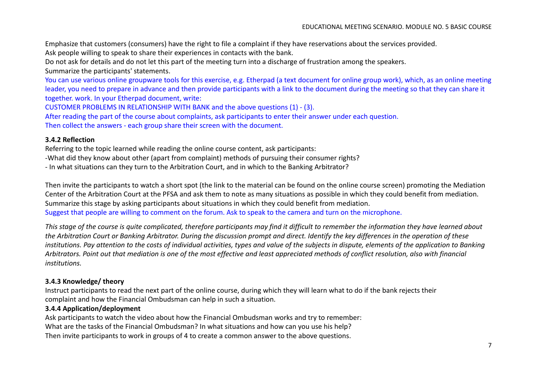Emphasize that customers (consumers) have the right to file a complaint if they have reservations about the services provided. Ask people willing to speak to share their experiences in contacts with the bank.

Do not ask for details and do not let this part of the meeting turn into a discharge of frustration among the speakers.

Summarize the participants' statements.

You can use various online groupware tools for this exercise, e.g. Etherpad (a text document for online group work), which, as an online meeting leader, you need to prepare in advance and then provide participants with a link to the document during the meeting so that they can share it together. work. In your Etherpad document, write:

CUSTOMER PROBLEMS IN RELATIONSHIP WITH BANK and the above questions (1) - (3).

After reading the part of the course about complaints, ask participants to enter their answer under each question.

Then collect the answers - each group share their screen with the document.

### **3.4.2 Reflection**

Referring to the topic learned while reading the online course content, ask participants:

-What did they know about other (apart from complaint) methods of pursuing their consumer rights?

- In what situations can they turn to the Arbitration Court, and in which to the Banking Arbitrator?

Then invite the participants to watch a short spot (the link to the material can be found on the online course screen) promoting the Mediation Center of the Arbitration Court at the PFSA and ask them to note as many situations as possible in which they could benefit from mediation. Summarize this stage by asking participants about situations in which they could benefit from mediation. Suggest that people are willing to comment on the forum. Ask to speak to the camera and turn on the microphone.

*This stage of the course is quite complicated, therefore participants may find it difficult to remember the information they have learned about the Arbitration Court or Banking Arbitrator. During the discussion prompt and direct. Identify the key differences in the operation of these institutions. Pay attention to the costs of individual activities, types and value of the subjects in dispute, elements of the application to Banking Arbitrators. Point out that mediation is one of the most effective and least appreciated methods of conflict resolution, also with financial institutions.*

## **3.4.3 Knowledge/ theory**

Instruct participants to read the next part of the online course, during which they will learn what to do if the bank rejects their complaint and how the Financial Ombudsman can help in such a situation.

## **3.4.4 Application/deployment**

Ask participants to watch the video about how the Financial Ombudsman works and try to remember: What are the tasks of the Financial Ombudsman? In what situations and how can you use his help? Then invite participants to work in groups of 4 to create a common answer to the above questions.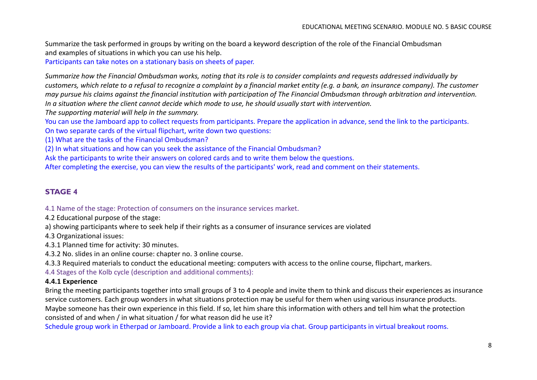Summarize the task performed in groups by writing on the board a keyword description of the role of the Financial Ombudsman and examples of situations in which you can use his help.

Participants can take notes on a stationary basis on sheets of paper.

*Summarize how the Financial Ombudsman works, noting that its role is to consider complaints and requests addressed individually by customers, which relate to a refusal to recognize a complaint by a financial market entity (e.g. a bank, an insurance company). The customer may pursue his claims against the financial institution with participation of The Financial Ombudsman through arbitration and intervention. In a situation where the client cannot decide which mode to use, he should usually start with intervention.*

*The supporting material will help in the summary.*

You can use the Jamboard app to collect requests from participants. Prepare the application in advance, send the link to the participants. On two separate cards of the virtual flipchart, write down two questions:

(1) What are the tasks of the Financial Ombudsman?

(2) In what situations and how can you seek the assistance of the Financial Ombudsman?

Ask the participants to write their answers on colored cards and to write them below the questions.

After completing the exercise, you can view the results of the participants' work, read and comment on their statements.

## **STAGE 4**

4.1 Name of the stage: Protection of consumers on the insurance services market.

4.2 Educational purpose of the stage:

a) showing participants where to seek help if their rights as a consumer of insurance services are violated

4.3 Organizational issues:

4.3.1 Planned time for activity: 30 minutes.

4.3.2 No. slides in an online course: chapter no. 3 online course.

4.3.3 Required materials to conduct the educational meeting: computers with access to the online course, flipchart, markers.

4.4 Stages of the Kolb cycle (description and additional comments):

### **4.4.1 Experience**

Bring the meeting participants together into small groups of 3 to 4 people and invite them to think and discuss their experiences as insurance service customers. Each group wonders in what situations protection may be useful for them when using various insurance products. Maybe someone has their own experience in this field. If so, let him share this information with others and tell him what the protection consisted of and when / in what situation / for what reason did he use it?

Schedule group work in Etherpad or Jamboard. Provide a link to each group via chat. Group participants in virtual breakout rooms.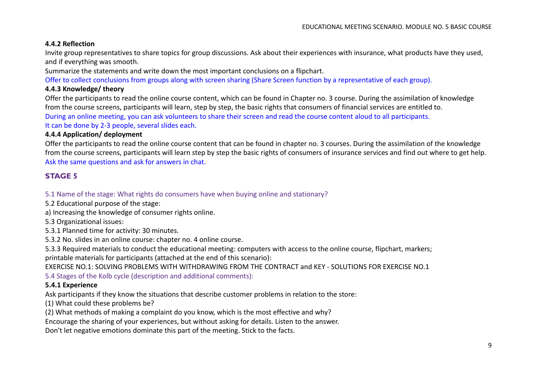## **4.4.2 Reflection**

Invite group representatives to share topics for group discussions. Ask about their experiences with insurance, what products have they used, and if everything was smooth.

Summarize the statements and write down the most important conclusions on a flipchart.

Offer to collect conclusions from groups along with screen sharing (Share Screen function by a representative of each group).

## **4.4.3 Knowledge/ theory**

Offer the participants to read the online course content, which can be found in Chapter no. 3 course. During the assimilation of knowledge from the course screens, participants will learn, step by step, the basic rights that consumers of financial services are entitled to. During an online meeting, you can ask volunteers to share their screen and read the course content aloud to all participants. It can be done by 2-3 people, several slides each.

## **4.4.4 Application/ deployment**

Offer the participants to read the online course content that can be found in chapter no. 3 courses. During the assimilation of the knowledge from the course screens, participants will learn step by step the basic rights of consumers of insurance services and find out where to get help. Ask the same questions and ask for answers in chat.

## **STAGE 5**

## 5.1 Name of the stage: What rights do consumers have when buying online and stationary?

5.2 Educational purpose of the stage:

a) Increasing the knowledge of consumer rights online.

5.3 Organizational issues:

5.3.1 Planned time for activity: 30 minutes.

5.3.2 No. slides in an online course: chapter no. 4 online course.

5.3.3 Required materials to conduct the educational meeting: computers with access to the online course, flipchart, markers; printable materials for participants (attached at the end of this scenario):

EXERCISE NO.1: SOLVING PROBLEMS WITH WITHDRAWING FROM THE CONTRACT and KEY - SOLUTIONS FOR EXERCISE NO.1

5.4 Stages of the Kolb cycle (description and additional comments):

## **5.4.1 Experience**

Ask participants if they know the situations that describe customer problems in relation to the store:

(1) What could these problems be?

(2) What methods of making a complaint do you know, which is the most effective and why?

Encourage the sharing of your experiences, but without asking for details. Listen to the answer.

Don't let negative emotions dominate this part of the meeting. Stick to the facts.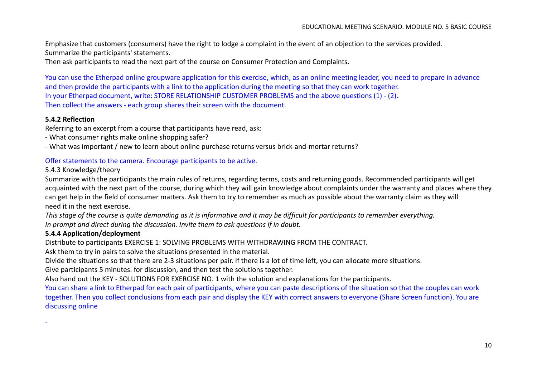Emphasize that customers (consumers) have the right to lodge a complaint in the event of an objection to the services provided. Summarize the participants' statements.

Then ask participants to read the next part of the course on Consumer Protection and Complaints.

You can use the Etherpad online groupware application for this exercise, which, as an online meeting leader, you need to prepare in advance and then provide the participants with a link to the application during the meeting so that they can work together. In your Etherpad document, write: STORE RELATIONSHIP CUSTOMER PROBLEMS and the above questions (1) - (2). Then collect the answers - each group shares their screen with the document.

## **5.4.2 Reflection**

.

Referring to an excerpt from a course that participants have read, ask:

- What consumer rights make online shopping safer?
- What was important / new to learn about online purchase returns versus brick-and-mortar returns?

## Offer statements to the camera. Encourage participants to be active.

## 5.4.3 Knowledge/theory

Summarize with the participants the main rules of returns, regarding terms, costs and returning goods. Recommended participants will get acquainted with the next part of the course, during which they will gain knowledge about complaints under the warranty and places where they can get help in the field of consumer matters. Ask them to try to remember as much as possible about the warranty claim as they will need it in the next exercise.

*This stage of the course is quite demanding as it is informative and it may be difficult for participants to remember everything. In prompt and direct during the discussion. Invite them to ask questions if in doubt.*

## **5.4.4 Application/deployment**

Distribute to participants EXERCISE 1: SOLVING PROBLEMS WITH WITHDRAWING FROM THE CONTRACT.

Ask them to try in pairs to solve the situations presented in the material.

Divide the situations so that there are 2-3 situations per pair. If there is a lot of time left, you can allocate more situations.

Give participants 5 minutes. for discussion, and then test the solutions together.

Also hand out the KEY - SOLUTIONS FOR EXERCISE NO. 1 with the solution and explanations for the participants.

You can share a link to Etherpad for each pair of participants, where you can paste descriptions of the situation so that the couples can work together. Then you collect conclusions from each pair and display the KEY with correct answers to everyone (Share Screen function). You are discussing online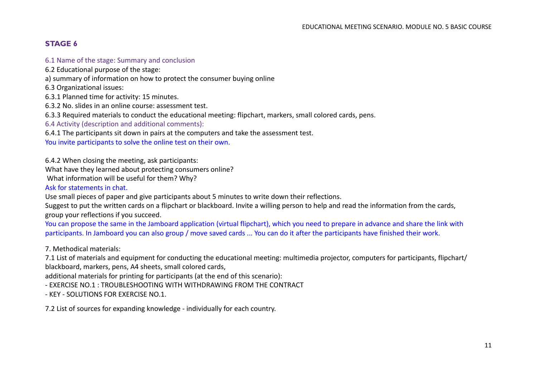## **STAGE 6**

## 6.1 Name of the stage: Summary and conclusion

6.2 Educational purpose of the stage:

a) summary of information on how to protect the consumer buying online

6.3 Organizational issues:

6.3.1 Planned time for activity: 15 minutes.

6.3.2 No. slides in an online course: assessment test.

6.3.3 Required materials to conduct the educational meeting: flipchart, markers, small colored cards, pens.

6.4 Activity (description and additional comments):

6.4.1 The participants sit down in pairs at the computers and take the assessment test.

You invite participants to solve the online test on their own.

6.4.2 When closing the meeting, ask participants:

What have they learned about protecting consumers online?

What information will be useful for them? Why?

Ask for statements in chat.

Use small pieces of paper and give participants about 5 minutes to write down their reflections.

Suggest to put the written cards on a flipchart or blackboard. Invite a willing person to help and read the information from the cards, group your reflections if you succeed.

You can propose the same in the Jamboard application (virtual flipchart), which you need to prepare in advance and share the link with participants. In Jamboard you can also group / move saved cards ... You can do it after the participants have finished their work.

7. Methodical materials:

7.1 List of materials and equipment for conducting the educational meeting: multimedia projector, computers for participants, flipchart/ blackboard, markers, pens, A4 sheets, small colored cards,

additional materials for printing for participants (at the end of this scenario):

- EXERCISE NO.1 : TROUBLESHOOTING WITH WITHDRAWING FROM THE CONTRACT

- KEY - SOLUTIONS FOR EXERCISE NO.1.

7.2 List of sources for expanding knowledge - individually for each country.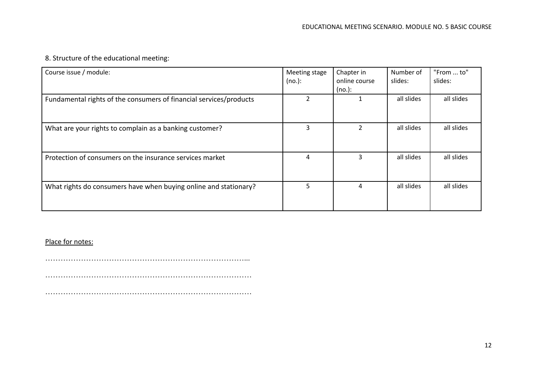## 8. Structure of the educational meeting:

| Course issue / module:                                             | Meeting stage<br>(no.): | Chapter in<br>online course<br>$(no.)$ : | Number of<br>slides: | "From  to"<br>slides: |
|--------------------------------------------------------------------|-------------------------|------------------------------------------|----------------------|-----------------------|
| Fundamental rights of the consumers of financial services/products |                         |                                          | all slides           | all slides            |
| What are your rights to complain as a banking customer?            | 3                       |                                          | all slides           | all slides            |
| Protection of consumers on the insurance services market           | 4                       | 3                                        | all slides           | all slides            |
| What rights do consumers have when buying online and stationary?   | 5.                      | 4                                        | all slides           | all slides            |

## Place for notes:

……………………………………………………………………...

………………………………………………………………………

………………………………………………………………………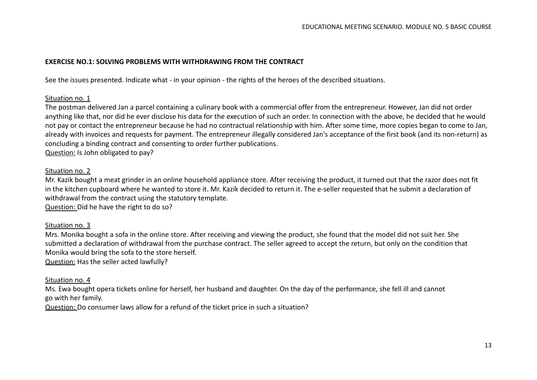## **EXERCISE NO.1: SOLVING PROBLEMS WITH WITHDRAWING FROM THE CONTRACT**

See the issues presented. Indicate what - in your opinion - the rights of the heroes of the described situations.

### Situation no. 1

The postman delivered Jan a parcel containing a culinary book with a commercial offer from the entrepreneur. However, Jan did not order anything like that, nor did he ever disclose his data for the execution of such an order. In connection with the above, he decided that he would not pay or contact the entrepreneur because he had no contractual relationship with him. After some time, more copies began to come to Jan, already with invoices and requests for payment. The entrepreneur illegally considered Jan's acceptance of the first book (and its non-return) as concluding a binding contract and consenting to order further publications.

Question: Is John obligated to pay?

## Situation no. 2

Mr. Kazik bought a meat grinder in an online household appliance store. After receiving the product, it turned out that the razor does not fit in the kitchen cupboard where he wanted to store it. Mr. Kazik decided to return it. The e-seller requested that he submit a declaration of withdrawal from the contract using the statutory template.

Question: Did he have the right to do so?

## Situation no. 3

Mrs. Monika bought a sofa in the online store. After receiving and viewing the product, she found that the model did not suit her. She submitted a declaration of withdrawal from the purchase contract. The seller agreed to accept the return, but only on the condition that Monika would bring the sofa to the store herself.

Question: Has the seller acted lawfully?

## Situation no. 4

Ms. Ewa bought opera tickets online for herself, her husband and daughter. On the day of the performance, she fell ill and cannot go with her family.

Question: Do consumer laws allow for a refund of the ticket price in such a situation?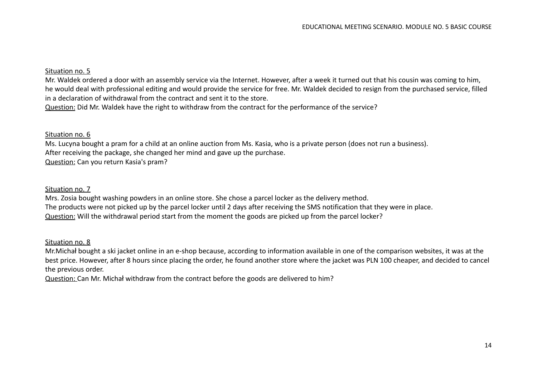## Situation no. 5

Mr. Waldek ordered a door with an assembly service via the Internet. However, after a week it turned out that his cousin was coming to him, he would deal with professional editing and would provide the service for free. Mr. Waldek decided to resign from the purchased service, filled in a declaration of withdrawal from the contract and sent it to the store.

Question: Did Mr. Waldek have the right to withdraw from the contract for the performance of the service?

## Situation no. 6

Ms. Lucyna bought a pram for a child at an online auction from Ms. Kasia, who is a private person (does not run a business). After receiving the package, she changed her mind and gave up the purchase. Question: Can you return Kasia's pram?

## Situation no. 7

Mrs. Zosia bought washing powders in an online store. She chose a parcel locker as the delivery method. The products were not picked up by the parcel locker until 2 days after receiving the SMS notification that they were in place. Question: Will the withdrawal period start from the moment the goods are picked up from the parcel locker?

### Situation no. 8

Mr.Michał bought a ski jacket online in an e-shop because, according to information available in one of the comparison websites, it was at the best price. However, after 8 hours since placing the order, he found another store where the jacket was PLN 100 cheaper, and decided to cancel the previous order.

Question: Can Mr. Michał withdraw from the contract before the goods are delivered to him?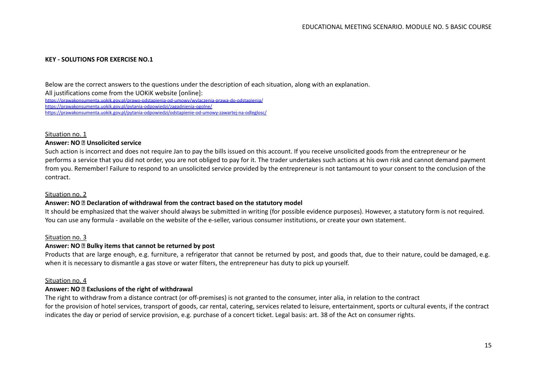### **KEY - SOLUTIONS FOR EXERCISE NO.1**

Below are the correct answers to the questions under the description of each situation, along with an explanation. All justifications come from the UOKiK website [online]: <https://prawakonsumenta.uokik.gov.pl/prawo-odstapienia-od-umowy/wylaczenia-prawa-do-odstapienia/> <https://prawakonsumenta.uokik.gov.pl/pytania-odpowiedzi/zagadnienia-ogolne/> <https://prawakonsumenta.uokik.gov.pl/pytania-odpowiedzi/odstapienie-od-umowy-zawartej-na-odleglosc/>

#### Situation no. 1

### **Answer: NO Unsolicited service**

Such action is incorrect and does not require Jan to pay the bills issued on this account. If you receive unsolicited goods from the entrepreneur or he performs a service that you did not order, you are not obliged to pay for it. The trader undertakes such actions at his own risk and cannot demand payment from you. Remember! Failure to respond to an unsolicited service provided by the entrepreneur is not tantamount to your consent to the conclusion of the contract.

#### Situation no. 2

### **Answer: NO Declaration of withdrawal from the contract based on the statutory model**

It should be emphasized that the waiver should always be submitted in writing (for possible evidence purposes). However, a statutory form is not required. You can use any formula - available on the website of the e-seller, various consumer institutions, or create your own statement.

#### Situation no. 3

#### **Answer: NO Bulky items that cannot be returned by post**

Products that are large enough, e.g. furniture, a refrigerator that cannot be returned by post, and goods that, due to their nature, could be damaged, e.g. when it is necessary to dismantle a gas stove or water filters, the entrepreneur has duty to pick up yourself.

#### Situation no. 4

### **Answer: NO Exclusions of the right of withdrawal**

The right to withdraw from a distance contract (or off-premises) is not granted to the consumer, inter alia, in relation to the contract for the provision of hotel services, transport of goods, car rental, catering, services related to leisure, entertainment, sports or cultural events, if the contract indicates the day or period of service provision, e.g. purchase of a concert ticket. Legal basis: art. 38 of the Act on consumer rights.